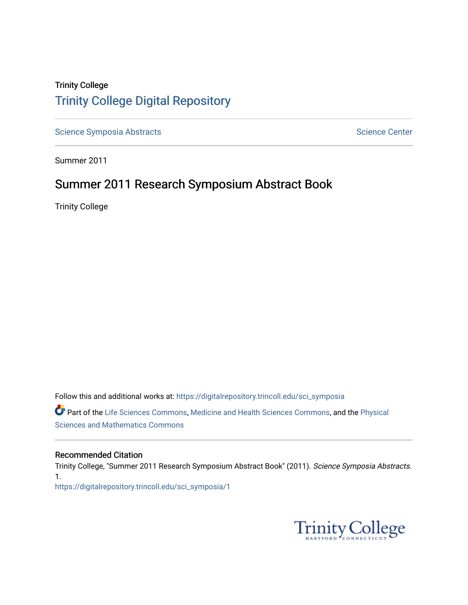## Trinity College [Trinity College Digital Repository](https://digitalrepository.trincoll.edu/)

[Science Symposia Abstracts](https://digitalrepository.trincoll.edu/sci_symposia) **Science Center** Science Center

Summer 2011

## Summer 2011 Research Symposium Abstract Book

Trinity College

Follow this and additional works at: [https://digitalrepository.trincoll.edu/sci\\_symposia](https://digitalrepository.trincoll.edu/sci_symposia?utm_source=digitalrepository.trincoll.edu%2Fsci_symposia%2F1&utm_medium=PDF&utm_campaign=PDFCoverPages)  Part of the [Life Sciences Commons,](http://network.bepress.com/hgg/discipline/1016?utm_source=digitalrepository.trincoll.edu%2Fsci_symposia%2F1&utm_medium=PDF&utm_campaign=PDFCoverPages) [Medicine and Health Sciences Commons,](http://network.bepress.com/hgg/discipline/648?utm_source=digitalrepository.trincoll.edu%2Fsci_symposia%2F1&utm_medium=PDF&utm_campaign=PDFCoverPages) and the [Physical](http://network.bepress.com/hgg/discipline/114?utm_source=digitalrepository.trincoll.edu%2Fsci_symposia%2F1&utm_medium=PDF&utm_campaign=PDFCoverPages)  [Sciences and Mathematics Commons](http://network.bepress.com/hgg/discipline/114?utm_source=digitalrepository.trincoll.edu%2Fsci_symposia%2F1&utm_medium=PDF&utm_campaign=PDFCoverPages) 

#### Recommended Citation

Trinity College, "Summer 2011 Research Symposium Abstract Book" (2011). Science Symposia Abstracts. 1. [https://digitalrepository.trincoll.edu/sci\\_symposia/1](https://digitalrepository.trincoll.edu/sci_symposia/1?utm_source=digitalrepository.trincoll.edu%2Fsci_symposia%2F1&utm_medium=PDF&utm_campaign=PDFCoverPages) 

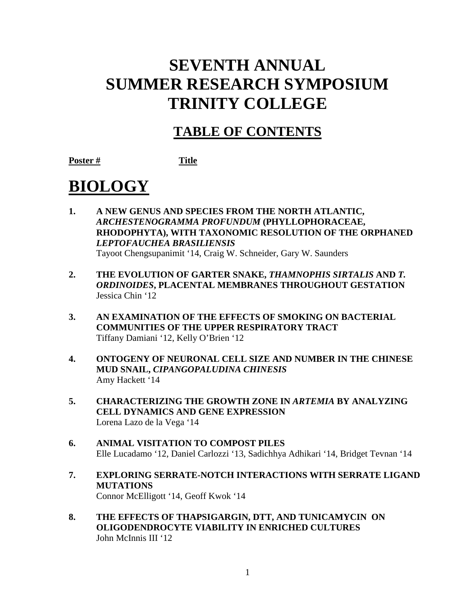# **SEVENTH ANNUAL SUMMER RESEARCH SYMPOSIUM TRINITY COLLEGE**

# **TABLE OF CONTENTS**

**Poster # Title**

# **BIOLOGY**

- **1. A NEW GENUS AND SPECIES FROM THE NORTH ATLANTIC,**  *ARCHESTENOGRAMMA PROFUNDUM* **(PHYLLOPHORACEAE, RHODOPHYTA), WITH TAXONOMIC RESOLUTION OF THE ORPHANED**  *LEPTOFAUCHEA BRASILIENSIS* Tayoot Chengsupanimit '14, Craig W. Schneider, Gary W. Saunders
- **2. THE EVOLUTION OF GARTER SNAKE,** *THAMNOPHIS SIRTALIS* **AND** *T. ORDINOIDES***, PLACENTAL MEMBRANES THROUGHOUT GESTATION** Jessica Chin '12
- **3. AN EXAMINATION OF THE EFFECTS OF SMOKING ON BACTERIAL COMMUNITIES OF THE UPPER RESPIRATORY TRACT** Tiffany Damiani '12, Kelly O'Brien '12
- **4. ONTOGENY OF NEURONAL CELL SIZE AND NUMBER IN THE CHINESE MUD SNAIL,** *CIPANGOPALUDINA CHINESIS* Amy Hackett '14
- **5. CHARACTERIZING THE GROWTH ZONE IN** *ARTEMIA* **BY ANALYZING CELL DYNAMICS AND GENE EXPRESSION** Lorena Lazo de la Vega '14
- **6. ANIMAL VISITATION TO COMPOST PILES**  Elle Lucadamo '12, Daniel Carlozzi '13, Sadichhya Adhikari '14, Bridget Tevnan '14
- **7. EXPLORING SERRATE-NOTCH INTERACTIONS WITH SERRATE LIGAND MUTATIONS** Connor McElligott '14, Geoff Kwok '14
- **8. THE EFFECTS OF THAPSIGARGIN, DTT, AND TUNICAMYCIN ON OLIGODENDROCYTE VIABILITY IN ENRICHED CULTURES** John McInnis III '12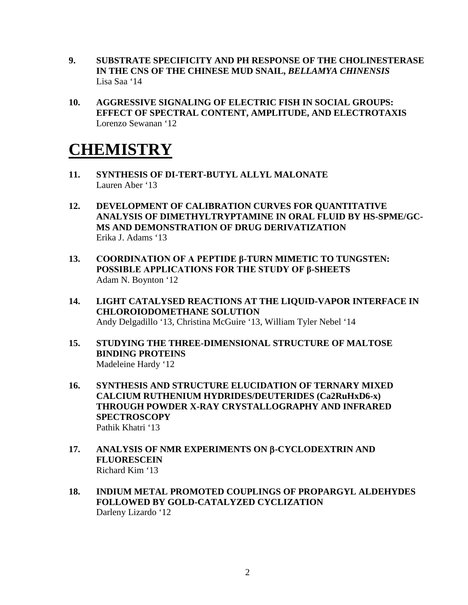- **9. SUBSTRATE SPECIFICITY AND PH RESPONSE OF THE CHOLINESTERASE IN THE CNS OF THE CHINESE MUD SNAIL,** *BELLAMYA CHINENSIS* Lisa Saa '14
- **10. AGGRESSIVE SIGNALING OF ELECTRIC FISH IN SOCIAL GROUPS: EFFECT OF SPECTRAL CONTENT, AMPLITUDE, AND ELECTROTAXIS**  Lorenzo Sewanan '12

# **CHEMISTRY**

- **11. SYNTHESIS OF DI-TERT-BUTYL ALLYL MALONATE** Lauren Aber '13
- **12. DEVELOPMENT OF CALIBRATION CURVES FOR QUANTITATIVE ANALYSIS OF DIMETHYLTRYPTAMINE IN ORAL FLUID BY HS-SPME/GC-MS AND DEMONSTRATION OF DRUG DERIVATIZATION** Erika J. Adams '13
- **13. COORDINATION OF A PEPTIDE β-TURN MIMETIC TO TUNGSTEN: POSSIBLE APPLICATIONS FOR THE STUDY OF β-SHEETS** Adam N. Boynton '12
- **14. LIGHT CATALYSED REACTIONS AT THE LIQUID-VAPOR INTERFACE IN CHLOROIODOMETHANE SOLUTION** Andy Delgadillo '13, Christina McGuire '13, William Tyler Nebel '14
- **15. STUDYING THE THREE-DIMENSIONAL STRUCTURE OF MALTOSE BINDING PROTEINS** Madeleine Hardy '12
- **16. SYNTHESIS AND STRUCTURE ELUCIDATION OF TERNARY MIXED CALCIUM RUTHENIUM HYDRIDES/DEUTERIDES (Ca2RuHxD6-x) THROUGH POWDER X-RAY CRYSTALLOGRAPHY AND INFRARED SPECTROSCOPY** Pathik Khatri '13
- **17. ANALYSIS OF NMR EXPERIMENTS ON** β**-CYCLODEXTRIN AND FLUORESCEIN** Richard Kim '13
- **18. INDIUM METAL PROMOTED COUPLINGS OF PROPARGYL ALDEHYDES FOLLOWED BY GOLD-CATALYZED CYCLIZATION** Darleny Lizardo '12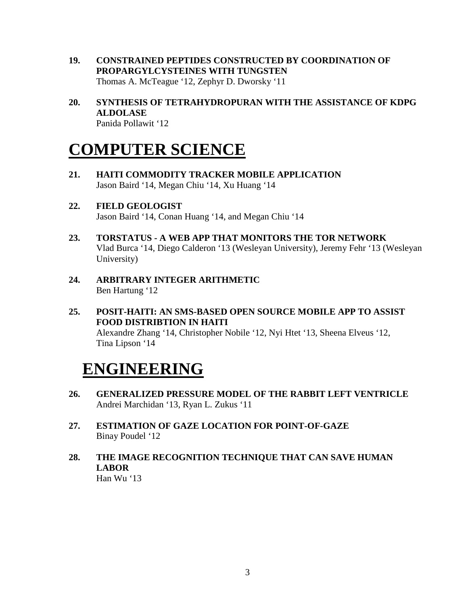- **19. CONSTRAINED PEPTIDES CONSTRUCTED BY COORDINATION OF PROPARGYLCYSTEINES WITH TUNGSTEN** Thomas A. McTeague '12, Zephyr D. Dworsky '11
- **20. SYNTHESIS OF TETRAHYDROPURAN WITH THE ASSISTANCE OF KDPG ALDOLASE** Panida Pollawit '12

# **COMPUTER SCIENCE**

- **21. HAITI COMMODITY TRACKER MOBILE APPLICATION** Jason Baird '14, Megan Chiu '14, Xu Huang '14
- **22. FIELD GEOLOGIST** Jason Baird '14, Conan Huang '14, and Megan Chiu '14
- **23. TORSTATUS - A WEB APP THAT MONITORS THE TOR NETWORK** Vlad Burca '14, Diego Calderon '13 (Wesleyan University), Jeremy Fehr '13 (Wesleyan University)
- **24. ARBITRARY INTEGER ARITHMETIC** Ben Hartung '12
- **25. POSIT-HAITI: AN SMS-BASED OPEN SOURCE MOBILE APP TO ASSIST FOOD DISTRIBTION IN HAITI** Alexandre Zhang '14, Christopher Nobile '12, Nyi Htet '13, Sheena Elveus '12, Tina Lipson '14

# **ENGINEERING**

- **26. GENERALIZED PRESSURE MODEL OF THE RABBIT LEFT VENTRICLE** Andrei Marchidan '13, Ryan L. Zukus '11
- **27. ESTIMATION OF GAZE LOCATION FOR POINT-OF-GAZE** Binay Poudel '12
- **28. THE IMAGE RECOGNITION TECHNIQUE THAT CAN SAVE HUMAN LABOR**

Han Wu '13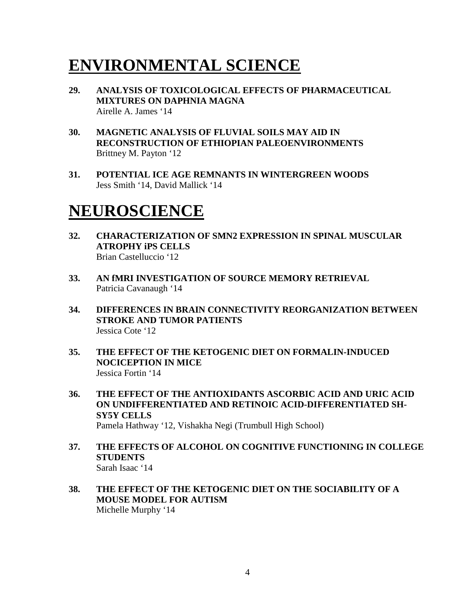# **ENVIRONMENTAL SCIENCE**

- **29. ANALYSIS OF TOXICOLOGICAL EFFECTS OF PHARMACEUTICAL MIXTURES ON DAPHNIA MAGNA** Airelle A. James '14
- **30. MAGNETIC ANALYSIS OF FLUVIAL SOILS MAY AID IN RECONSTRUCTION OF ETHIOPIAN PALEOENVIRONMENTS** Brittney M. Payton '12
- **31. POTENTIAL ICE AGE REMNANTS IN WINTERGREEN WOODS** Jess Smith '14, David Mallick '14

# **NEUROSCIENCE**

- **32. CHARACTERIZATION OF SMN2 EXPRESSION IN SPINAL MUSCULAR ATROPHY iPS CELLS** Brian Castelluccio '12
- **33. AN fMRI INVESTIGATION OF SOURCE MEMORY RETRIEVAL** Patricia Cavanaugh '14
- **34. DIFFERENCES IN BRAIN CONNECTIVITY REORGANIZATION BETWEEN STROKE AND TUMOR PATIENTS** Jessica Cote '12
- **35. THE EFFECT OF THE KETOGENIC DIET ON FORMALIN-INDUCED NOCICEPTION IN MICE** Jessica Fortin '14
- **36. THE EFFECT OF THE ANTIOXIDANTS ASCORBIC ACID AND URIC ACID ON UNDIFFERENTIATED AND RETINOIC ACID-DIFFERENTIATED SH-SY5Y CELLS** Pamela Hathway '12, Vishakha Negi (Trumbull High School)
- **37. THE EFFECTS OF ALCOHOL ON COGNITIVE FUNCTIONING IN COLLEGE STUDENTS** Sarah Isaac '14
- **38. THE EFFECT OF THE KETOGENIC DIET ON THE SOCIABILITY OF A MOUSE MODEL FOR AUTISM** Michelle Murphy '14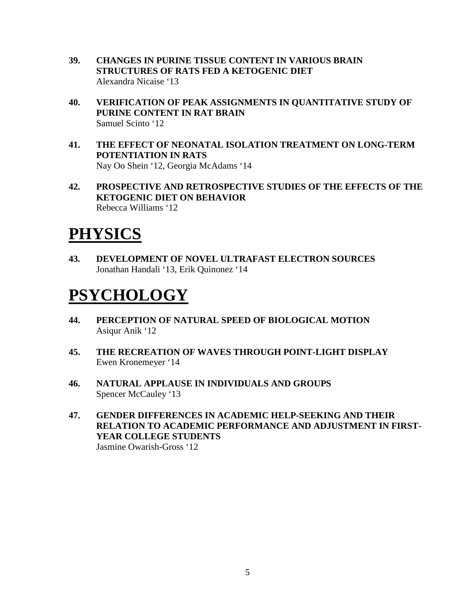- **39. CHANGES IN PURINE TISSUE CONTENT IN VARIOUS BRAIN STRUCTURES OF RATS FED A KETOGENIC DIET** Alexandra Nicaise '13
- **40. VERIFICATION OF PEAK ASSIGNMENTS IN QUANTITATIVE STUDY OF PURINE CONTENT IN RAT BRAIN** Samuel Scinto '12
- **41. THE EFFECT OF NEONATAL ISOLATION TREATMENT ON LONG-TERM POTENTIATION IN RATS** Nay Oo Shein '12, Georgia McAdams '14
- **42. PROSPECTIVE AND RETROSPECTIVE STUDIES OF THE EFFECTS OF THE KETOGENIC DIET ON BEHAVIOR**  Rebecca Williams '12

# **PHYSICS**

**43. DEVELOPMENT OF NOVEL ULTRAFAST ELECTRON SOURCES** Jonathan Handali '13, Erik Quinonez '14

# **PSYCHOLOGY**

- **44. PERCEPTION OF NATURAL SPEED OF BIOLOGICAL MOTION** Asiqur Anik '12
- **45. THE RECREATION OF WAVES THROUGH POINT-LIGHT DISPLAY** Ewen Kronemeyer '14
- **46. NATURAL APPLAUSE IN INDIVIDUALS AND GROUPS** Spencer McCauley '13
- **47. GENDER DIFFERENCES IN ACADEMIC HELP-SEEKING AND THEIR RELATION TO ACADEMIC PERFORMANCE AND ADJUSTMENT IN FIRST-YEAR COLLEGE STUDENTS** Jasmine Owarish-Gross '12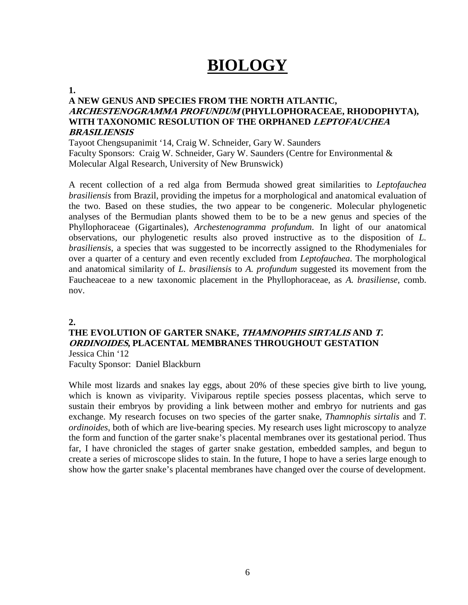# **BIOLOGY**

#### **1.**

#### **A NEW GENUS AND SPECIES FROM THE NORTH ATLANTIC, ARCHESTENOGRAMMA PROFUNDUM (PHYLLOPHORACEAE, RHODOPHYTA), WITH TAXONOMIC RESOLUTION OF THE ORPHANED LEPTOFAUCHEA BRASILIENSIS**

Tayoot Chengsupanimit '14, Craig W. Schneider, Gary W. Saunders Faculty Sponsors: Craig W. Schneider, Gary W. Saunders (Centre for Environmental & Molecular Algal Research, University of New Brunswick)

A recent collection of a red alga from Bermuda showed great similarities to *Leptofauchea brasiliensis* from Brazil, providing the impetus for a morphological and anatomical evaluation of the two. Based on these studies, the two appear to be congeneric. Molecular phylogenetic analyses of the Bermudian plants showed them to be to be a new genus and species of the Phyllophoraceae (Gigartinales), *Archestenogramma profundum*. In light of our anatomical observations, our phylogenetic results also proved instructive as to the disposition of *L. brasiliensis*, a species that was suggested to be incorrectly assigned to the Rhodymeniales for over a quarter of a century and even recently excluded from *Leptofauchea*. The morphological and anatomical similarity of *L. brasiliensis* to *A. profundum* suggested its movement from the Faucheaceae to a new taxonomic placement in the Phyllophoraceae, as *A. brasiliense*, comb. nov.

#### **2.**

## **THE EVOLUTION OF GARTER SNAKE, THAMNOPHIS SIRTALIS AND T. ORDINOIDES, PLACENTAL MEMBRANES THROUGHOUT GESTATION** Jessica Chin '12

Faculty Sponsor: Daniel Blackburn

While most lizards and snakes lay eggs, about 20% of these species give birth to live young, which is known as viviparity. Viviparous reptile species possess placentas, which serve to sustain their embryos by providing a link between mother and embryo for nutrients and gas exchange. My research focuses on two species of the garter snake, *Thamnophis sirtalis* and *T. ordinoides*, both of which are live-bearing species. My research uses light microscopy to analyze the form and function of the garter snake's placental membranes over its gestational period. Thus far, I have chronicled the stages of garter snake gestation, embedded samples, and begun to create a series of microscope slides to stain. In the future, I hope to have a series large enough to show how the garter snake's placental membranes have changed over the course of development.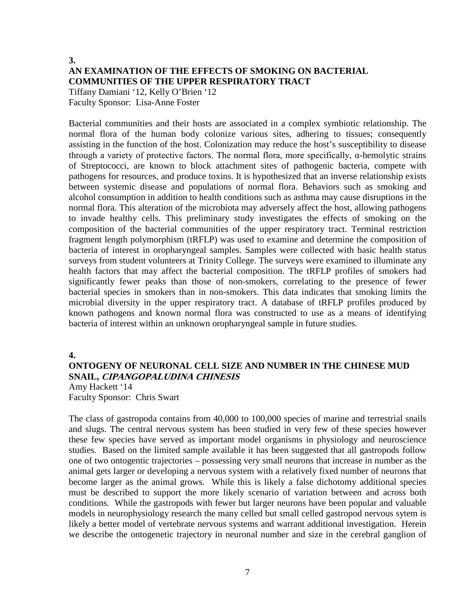## **3. AN EXAMINATION OF THE EFFECTS OF SMOKING ON BACTERIAL COMMUNITIES OF THE UPPER RESPIRATORY TRACT**

Tiffany Damiani '12, Kelly O'Brien '12 Faculty Sponsor: Lisa-Anne Foster

Bacterial communities and their hosts are associated in a complex symbiotic relationship. The normal flora of the human body colonize various sites, adhering to tissues; consequently assisting in the function of the host. Colonization may reduce the host's susceptibility to disease through a variety of protective factors. The normal flora, more specifically, α-hemolytic strains of Streptococci, are known to block attachment sites of pathogenic bacteria, compete with pathogens for resources, and produce toxins. It is hypothesized that an inverse relationship exists between systemic disease and populations of normal flora. Behaviors such as smoking and alcohol consumption in addition to health conditions such as asthma may cause disruptions in the normal flora. This alteration of the microbiota may adversely affect the host, allowing pathogens to invade healthy cells. This preliminary study investigates the effects of smoking on the composition of the bacterial communities of the upper respiratory tract. Terminal restriction fragment length polymorphism (tRFLP) was used to examine and determine the composition of bacteria of interest in oropharyngeal samples. Samples were collected with basic health status surveys from student volunteers at Trinity College. The surveys were examined to illuminate any health factors that may affect the bacterial composition. The tRFLP profiles of smokers had significantly fewer peaks than those of non-smokers, correlating to the presence of fewer bacterial species in smokers than in non-smokers. This data indicates that smoking limits the microbial diversity in the upper respiratory tract. A database of tRFLP profiles produced by known pathogens and known normal flora was constructed to use as a means of identifying bacteria of interest within an unknown oropharyngeal sample in future studies.

**4.**

### **ONTOGENY OF NEURONAL CELL SIZE AND NUMBER IN THE CHINESE MUD SNAIL, CIPANGOPALUDINA CHINESIS**

Amy Hackett '14 Faculty Sponsor: Chris Swart

The class of gastropoda contains from 40,000 to 100,000 species of marine and terrestrial snails and slugs. The central nervous system has been studied in very few of these species however these few species have served as important model organisms in physiology and neuroscience studies. Based on the limited sample available it has been suggested that all gastropods follow one of two ontogentic trajectories – possessing very small neurons that increase in number as the animal gets larger or developing a nervous system with a relatively fixed number of neurons that become larger as the animal grows. While this is likely a false dichotomy additional species must be described to support the more likely scenario of variation between and across both conditions. While the gastropods with fewer but larger neurons have been popular and valuable models in neurophysiology research the many celled but small celled gastropod nervous sytem is likely a better model of vertebrate nervous systems and warrant additional investigation. Herein we describe the ontogenetic trajectory in neuronal number and size in the cerebral ganglion of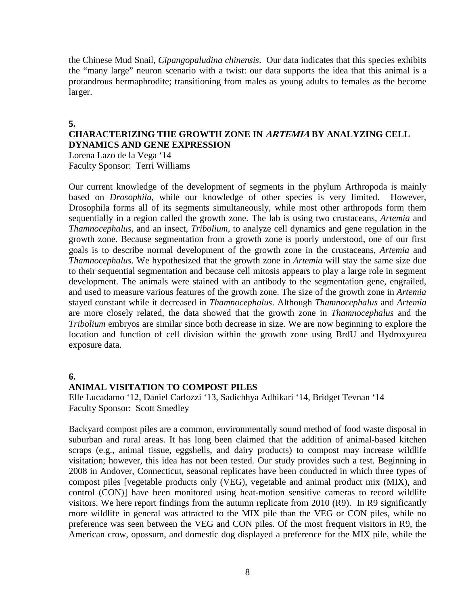the Chinese Mud Snail, *Cipangopaludina chinensis*. Our data indicates that this species exhibits the "many large" neuron scenario with a twist: our data supports the idea that this animal is a protandrous hermaphrodite; transitioning from males as young adults to females as the become larger.

#### **5.**

#### **CHARACTERIZING THE GROWTH ZONE IN ARTEMIA BY ANALYZING CELL DYNAMICS AND GENE EXPRESSION**

Lorena Lazo de la Vega '14 Faculty Sponsor: Terri Williams

Our current knowledge of the development of segments in the phylum Arthropoda is mainly based on *Drosophila*, while our knowledge of other species is very limited. However, Drosophila forms all of its segments simultaneously, while most other arthropods form them sequentially in a region called the growth zone. The lab is using two crustaceans, *Artemia* and *Thamnocephalus*, and an insect, *Tribolium*, to analyze cell dynamics and gene regulation in the growth zone. Because segmentation from a growth zone is poorly understood, one of our first goals is to describe normal development of the growth zone in the crustaceans, *Artemia* and *Thamnocephalus*. We hypothesized that the growth zone in *Artemia* will stay the same size due to their sequential segmentation and because cell mitosis appears to play a large role in segment development. The animals were stained with an antibody to the segmentation gene, engrailed, and used to measure various features of the growth zone. The size of the growth zone in *Artemia*  stayed constant while it decreased in *Thamnocephalus*. Although *Thamnocephalus* and *Artemia*  are more closely related, the data showed that the growth zone in *Thamnocephalus* and the *Tribolium* embryos are similar since both decrease in size. We are now beginning to explore the location and function of cell division within the growth zone using BrdU and Hydroxyurea exposure data.

#### **6.**

#### **ANIMAL VISITATION TO COMPOST PILES**

Elle Lucadamo '12, Daniel Carlozzi '13, Sadichhya Adhikari '14, Bridget Tevnan '14 Faculty Sponsor: Scott Smedley

Backyard compost piles are a common, environmentally sound method of food waste disposal in suburban and rural areas. It has long been claimed that the addition of animal-based kitchen scraps (e.g., animal tissue, eggshells, and dairy products) to compost may increase wildlife visitation; however, this idea has not been tested. Our study provides such a test. Beginning in 2008 in Andover, Connecticut, seasonal replicates have been conducted in which three types of compost piles [vegetable products only (VEG), vegetable and animal product mix (MIX), and control (CON)] have been monitored using heat-motion sensitive cameras to record wildlife visitors. We here report findings from the autumn replicate from 2010 (R9). In R9 significantly more wildlife in general was attracted to the MIX pile than the VEG or CON piles, while no preference was seen between the VEG and CON piles. Of the most frequent visitors in R9, the American crow, opossum, and domestic dog displayed a preference for the MIX pile, while the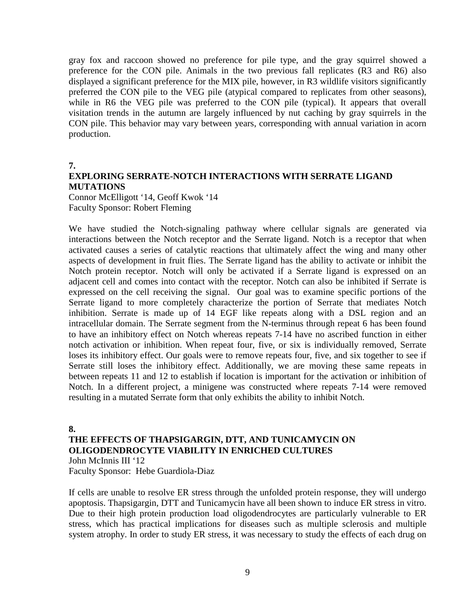gray fox and raccoon showed no preference for pile type, and the gray squirrel showed a preference for the CON pile. Animals in the two previous fall replicates (R3 and R6) also displayed a significant preference for the MIX pile, however, in R3 wildlife visitors significantly preferred the CON pile to the VEG pile (atypical compared to replicates from other seasons), while in R6 the VEG pile was preferred to the CON pile (typical). It appears that overall visitation trends in the autumn are largely influenced by nut caching by gray squirrels in the CON pile. This behavior may vary between years, corresponding with annual variation in acorn production.

**7.**

### **EXPLORING SERRATE-NOTCH INTERACTIONS WITH SERRATE LIGAND MUTATIONS**

Connor McElligott '14, Geoff Kwok '14 Faculty Sponsor: Robert Fleming

We have studied the Notch-signaling pathway where cellular signals are generated via interactions between the Notch receptor and the Serrate ligand. Notch is a receptor that when activated causes a series of catalytic reactions that ultimately affect the wing and many other aspects of development in fruit flies. The Serrate ligand has the ability to activate or inhibit the Notch protein receptor. Notch will only be activated if a Serrate ligand is expressed on an adjacent cell and comes into contact with the receptor. Notch can also be inhibited if Serrate is expressed on the cell receiving the signal. Our goal was to examine specific portions of the Serrate ligand to more completely characterize the portion of Serrate that mediates Notch inhibition. Serrate is made up of 14 EGF like repeats along with a DSL region and an intracellular domain. The Serrate segment from the N-terminus through repeat 6 has been found to have an inhibitory effect on Notch whereas repeats 7-14 have no ascribed function in either notch activation or inhibition. When repeat four, five, or six is individually removed, Serrate loses its inhibitory effect. Our goals were to remove repeats four, five, and six together to see if Serrate still loses the inhibitory effect. Additionally, we are moving these same repeats in between repeats 11 and 12 to establish if location is important for the activation or inhibition of Notch. In a different project, a minigene was constructed where repeats 7-14 were removed resulting in a mutated Serrate form that only exhibits the ability to inhibit Notch.

**8.**

#### **THE EFFECTS OF THAPSIGARGIN, DTT, AND TUNICAMYCIN ON OLIGODENDROCYTE VIABILITY IN ENRICHED CULTURES** John McInnis III '12

Faculty Sponsor: Hebe Guardiola-Diaz

If cells are unable to resolve ER stress through the unfolded protein response, they will undergo apoptosis. Thapsigargin, DTT and Tunicamycin have all been shown to induce ER stress in vitro. Due to their high protein production load oligodendrocytes are particularly vulnerable to ER stress, which has practical implications for diseases such as multiple sclerosis and multiple system atrophy. In order to study ER stress, it was necessary to study the effects of each drug on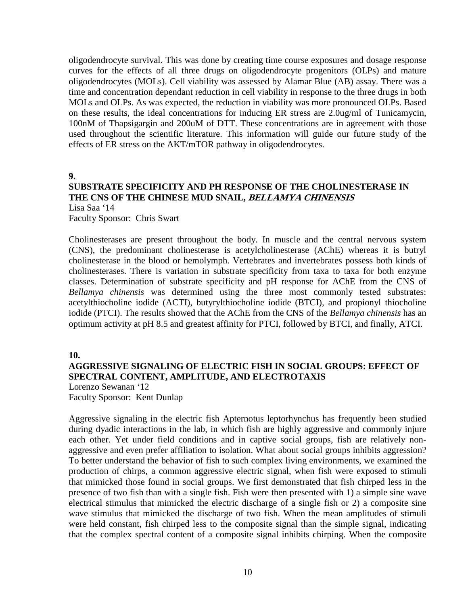oligodendrocyte survival. This was done by creating time course exposures and dosage response curves for the effects of all three drugs on oligodendrocyte progenitors (OLPs) and mature oligodendrocytes (MOLs). Cell viability was assessed by Alamar Blue (AB) assay. There was a time and concentration dependant reduction in cell viability in response to the three drugs in both MOLs and OLPs. As was expected, the reduction in viability was more pronounced OLPs. Based on these results, the ideal concentrations for inducing ER stress are 2.0ug/ml of Tunicamycin, 100nM of Thapsigargin and 200uM of DTT. These concentrations are in agreement with those used throughout the scientific literature. This information will guide our future study of the effects of ER stress on the AKT/mTOR pathway in oligodendrocytes.

#### **9.**

### **SUBSTRATE SPECIFICITY AND PH RESPONSE OF THE CHOLINESTERASE IN THE CNS OF THE CHINESE MUD SNAIL, BELLAMYA CHINENSIS** Lisa Saa '14

Faculty Sponsor: Chris Swart

Cholinesterases are present throughout the body. In muscle and the central nervous system (CNS), the predominant cholinesterase is acetylcholinesterase (AChE) whereas it is butryl cholinesterase in the blood or hemolymph. Vertebrates and invertebrates possess both kinds of cholinesterases. There is variation in substrate specificity from taxa to taxa for both enzyme classes. Determination of substrate specificity and pH response for AChE from the CNS of *Bellamya chinensis* was determined using the three most commonly tested substrates: acetylthiocholine iodide (ACTI), butyrylthiocholine iodide (BTCI), and propionyl thiocholine iodide (PTCI). The results showed that the AChE from the CNS of the *Bellamya chinensis* has an optimum activity at pH 8.5 and greatest affinity for PTCI, followed by BTCI, and finally, ATCI.

#### **10.**

### **AGGRESSIVE SIGNALING OF ELECTRIC FISH IN SOCIAL GROUPS: EFFECT OF SPECTRAL CONTENT, AMPLITUDE, AND ELECTROTAXIS**

Lorenzo Sewanan '12 Faculty Sponsor: Kent Dunlap

Aggressive signaling in the electric fish Apternotus leptorhynchus has frequently been studied during dyadic interactions in the lab, in which fish are highly aggressive and commonly injure each other. Yet under field conditions and in captive social groups, fish are relatively nonaggressive and even prefer affiliation to isolation. What about social groups inhibits aggression? To better understand the behavior of fish to such complex living environments, we examined the production of chirps, a common aggressive electric signal, when fish were exposed to stimuli that mimicked those found in social groups. We first demonstrated that fish chirped less in the presence of two fish than with a single fish. Fish were then presented with 1) a simple sine wave electrical stimulus that mimicked the electric discharge of a single fish or 2) a composite sine wave stimulus that mimicked the discharge of two fish. When the mean amplitudes of stimuli were held constant, fish chirped less to the composite signal than the simple signal, indicating that the complex spectral content of a composite signal inhibits chirping. When the composite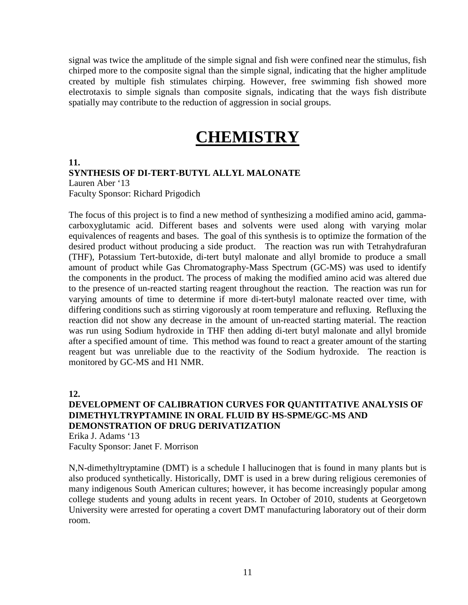signal was twice the amplitude of the simple signal and fish were confined near the stimulus, fish chirped more to the composite signal than the simple signal, indicating that the higher amplitude created by multiple fish stimulates chirping. However, free swimming fish showed more electrotaxis to simple signals than composite signals, indicating that the ways fish distribute spatially may contribute to the reduction of aggression in social groups.

# **CHEMISTRY**

#### **11. SYNTHESIS OF DI-TERT-BUTYL ALLYL MALONATE**

Lauren Aber '13 Faculty Sponsor: Richard Prigodich

The focus of this project is to find a new method of synthesizing a modified amino acid, gammacarboxyglutamic acid. Different bases and solvents were used along with varying molar equivalences of reagents and bases. The goal of this synthesis is to optimize the formation of the desired product without producing a side product. The reaction was run with Tetrahydrafuran (THF), Potassium Tert-butoxide, di-tert butyl malonate and allyl bromide to produce a small amount of product while Gas Chromatography-Mass Spectrum (GC-MS) was used to identify the components in the product. The process of making the modified amino acid was altered due to the presence of un-reacted starting reagent throughout the reaction. The reaction was run for varying amounts of time to determine if more di-tert-butyl malonate reacted over time, with differing conditions such as stirring vigorously at room temperature and refluxing. Refluxing the reaction did not show any decrease in the amount of un-reacted starting material. The reaction was run using Sodium hydroxide in THF then adding di-tert butyl malonate and allyl bromide after a specified amount of time. This method was found to react a greater amount of the starting reagent but was unreliable due to the reactivity of the Sodium hydroxide. The reaction is monitored by GC-MS and H1 NMR.

**12.**

#### **DEVELOPMENT OF CALIBRATION CURVES FOR QUANTITATIVE ANALYSIS OF DIMETHYLTRYPTAMINE IN ORAL FLUID BY HS-SPME/GC-MS AND DEMONSTRATION OF DRUG DERIVATIZATION**

Erika J. Adams '13 Faculty Sponsor: Janet F. Morrison

N,N-dimethyltryptamine (DMT) is a schedule I hallucinogen that is found in many plants but is also produced synthetically. Historically, DMT is used in a brew during religious ceremonies of many indigenous South American cultures; however, it has become increasingly popular among college students and young adults in recent years. In October of 2010, students at Georgetown University were arrested for operating a covert DMT manufacturing laboratory out of their dorm room.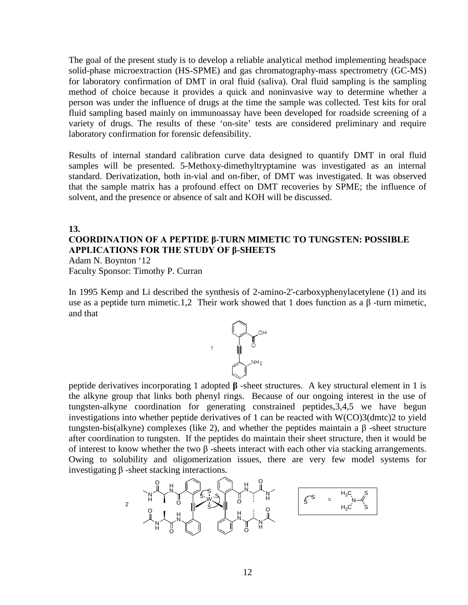The goal of the present study is to develop a reliable analytical method implementing headspace solid-phase microextraction (HS-SPME) and gas chromatography-mass spectrometry (GC-MS) for laboratory confirmation of DMT in oral fluid (saliva). Oral fluid sampling is the sampling method of choice because it provides a quick and noninvasive way to determine whether a person was under the influence of drugs at the time the sample was collected. Test kits for oral fluid sampling based mainly on immunoassay have been developed for roadside screening of a variety of drugs. The results of these 'on-site' tests are considered preliminary and require laboratory confirmation for forensic defensibility.

Results of internal standard calibration curve data designed to quantify DMT in oral fluid samples will be presented. 5-Methoxy-dimethyltryptamine was investigated as an internal standard. Derivatization, both in-vial and on-fiber, of DMT was investigated. It was observed that the sample matrix has a profound effect on DMT recoveries by SPME; the influence of solvent, and the presence or absence of salt and KOH will be discussed.

#### **13.**

### **COORDINATION OF A PEPTIDE β-TURN MIMETIC TO TUNGSTEN: POSSIBLE APPLICATIONS FOR THE STUDY OF β-SHEETS**

Adam N. Boynton '12 Faculty Sponsor: Timothy P. Curran

In 1995 Kemp and Li described the synthesis of 2-amino-2'-carboxyphenylacetylene (1) and its use as a peptide turn mimetic.1,2 Their work showed that 1 does function as a  $\beta$ -turn mimetic, and that



peptide derivatives incorporating 1 adopted **β** -sheet structures. A key structural element in 1 is the alkyne group that links both phenyl rings. Because of our ongoing interest in the use of tungsten-alkyne coordination for generating constrained peptides,3,4,5 we have begun investigations into whether peptide derivatives of 1 can be reacted with W(CO)3(dmtc)2 to yield tungsten-bis(alkyne) complexes (like 2), and whether the peptides maintain a β -sheet structure after coordination to tungsten. If the peptides do maintain their sheet structure, then it would be of interest to know whether the two β -sheets interact with each other via stacking arrangements. Owing to solubility and oligomerization issues, there are very few model systems for investigating β -sheet stacking interactions.

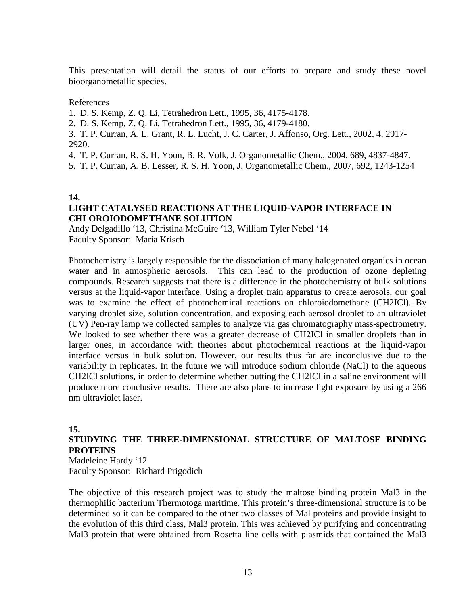This presentation will detail the status of our efforts to prepare and study these novel bioorganometallic species.

#### References

- 1. D. S. Kemp, Z. Q. Li, Tetrahedron Lett., 1995, 36, 4175-4178.
- 2. D. S. Kemp, Z. Q. Li, Tetrahedron Lett., 1995, 36, 4179-4180.
- 3. T. P. Curran, A. L. Grant, R. L. Lucht, J. C. Carter, J. Affonso, Org. Lett., 2002, 4, 2917- 2920.
- 4. T. P. Curran, R. S. H. Yoon, B. R. Volk, J. Organometallic Chem., 2004, 689, 4837-4847.
- 5. T. P. Curran, A. B. Lesser, R. S. H. Yoon, J. Organometallic Chem., 2007, 692, 1243-1254

#### **14.**

#### **LIGHT CATALYSED REACTIONS AT THE LIQUID-VAPOR INTERFACE IN CHLOROIODOMETHANE SOLUTION**

Andy Delgadillo '13, Christina McGuire '13, William Tyler Nebel '14 Faculty Sponsor: Maria Krisch

Photochemistry is largely responsible for the dissociation of many halogenated organics in ocean water and in atmospheric aerosols. This can lead to the production of ozone depleting compounds. Research suggests that there is a difference in the photochemistry of bulk solutions versus at the liquid-vapor interface. Using a droplet train apparatus to create aerosols, our goal was to examine the effect of photochemical reactions on chloroiodomethane (CH2ICl). By varying droplet size, solution concentration, and exposing each aerosol droplet to an ultraviolet (UV) Pen-ray lamp we collected samples to analyze via gas chromatography mass-spectrometry. We looked to see whether there was a greater decrease of CH2ICl in smaller droplets than in larger ones, in accordance with theories about photochemical reactions at the liquid-vapor interface versus in bulk solution. However, our results thus far are inconclusive due to the variability in replicates. In the future we will introduce sodium chloride (NaCl) to the aqueous CH2ICl solutions, in order to determine whether putting the CH2ICl in a saline environment will produce more conclusive results. There are also plans to increase light exposure by using a 266 nm ultraviolet laser.

#### **15.**

### **STUDYING THE THREE-DIMENSIONAL STRUCTURE OF MALTOSE BINDING PROTEINS**

Madeleine Hardy '12 Faculty Sponsor: Richard Prigodich

The objective of this research project was to study the maltose binding protein Mal3 in the thermophilic bacterium Thermotoga maritime. This protein's three-dimensional structure is to be determined so it can be compared to the other two classes of Mal proteins and provide insight to the evolution of this third class, Mal3 protein. This was achieved by purifying and concentrating Mal3 protein that were obtained from Rosetta line cells with plasmids that contained the Mal3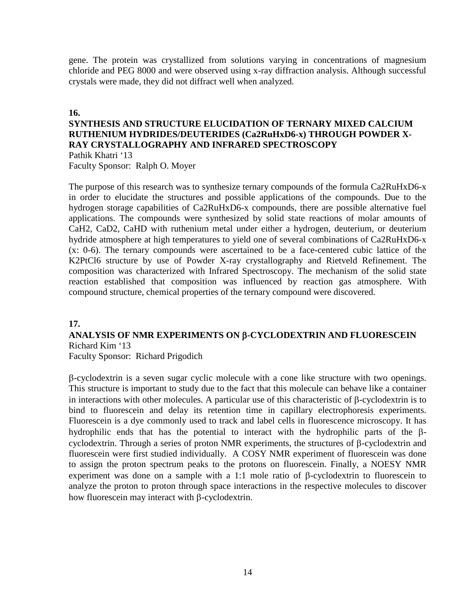gene. The protein was crystallized from solutions varying in concentrations of magnesium chloride and PEG 8000 and were observed using x-ray diffraction analysis. Although successful crystals were made, they did not diffract well when analyzed.

#### **16.**

#### **SYNTHESIS AND STRUCTURE ELUCIDATION OF TERNARY MIXED CALCIUM RUTHENIUM HYDRIDES/DEUTERIDES (Ca2RuHxD6-x) THROUGH POWDER X-RAY CRYSTALLOGRAPHY AND INFRARED SPECTROSCOPY** Pathik Khatri '13 Faculty Sponsor: Ralph O. Moyer

The purpose of this research was to synthesize ternary compounds of the formula Ca2RuHxD6-x in order to elucidate the structures and possible applications of the compounds. Due to the hydrogen storage capabilities of Ca2RuHxD6-x compounds, there are possible alternative fuel applications. The compounds were synthesized by solid state reactions of molar amounts of CaH2, CaD2, CaHD with ruthenium metal under either a hydrogen, deuterium, or deuterium hydride atmosphere at high temperatures to yield one of several combinations of Ca2RuHxD6-x (x: 0-6). The ternary compounds were ascertained to be a face-centered cubic lattice of the K2PtCl6 structure by use of Powder X-ray crystallography and Rietveld Refinement. The composition was characterized with Infrared Spectroscopy. The mechanism of the solid state reaction established that composition was influenced by reaction gas atmosphere. With compound structure, chemical properties of the ternary compound were discovered.

#### **17.**

#### **ANALYSIS OF NMR EXPERIMENTS ON** β**-CYCLODEXTRIN AND FLUORESCEIN** Richard Kim '13

Faculty Sponsor: Richard Prigodich

β-cyclodextrin is a seven sugar cyclic molecule with a cone like structure with two openings. This structure is important to study due to the fact that this molecule can behave like a container in interactions with other molecules. A particular use of this characteristic of β-cyclodextrin is to bind to fluorescein and delay its retention time in capillary electrophoresis experiments. Fluorescein is a dye commonly used to track and label cells in fluorescence microscopy. It has hydrophilic ends that has the potential to interact with the hydrophilic parts of the βcyclodextrin. Through a series of proton NMR experiments, the structures of β-cyclodextrin and fluorescein were first studied individually. A COSY NMR experiment of fluorescein was done to assign the proton spectrum peaks to the protons on fluorescein. Finally, a NOESY NMR experiment was done on a sample with a 1:1 mole ratio of β-cyclodextrin to fluorescein to analyze the proton to proton through space interactions in the respective molecules to discover how fluorescein may interact with β-cyclodextrin.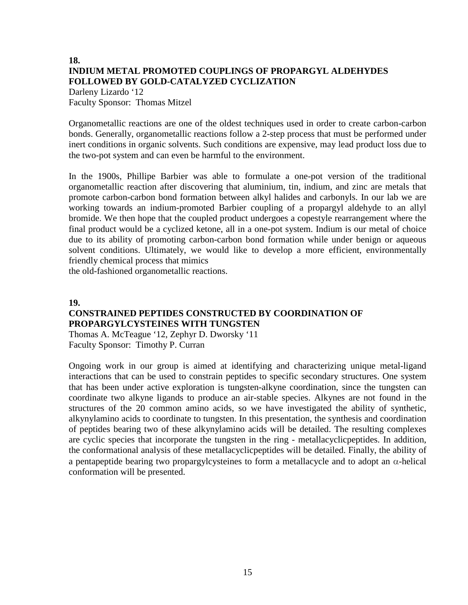## **18. INDIUM METAL PROMOTED COUPLINGS OF PROPARGYL ALDEHYDES FOLLOWED BY GOLD-CATALYZED CYCLIZATION**

Darleny Lizardo '12 Faculty Sponsor: Thomas Mitzel

Organometallic reactions are one of the oldest techniques used in order to create carbon-carbon bonds. Generally, organometallic reactions follow a 2-step process that must be performed under inert conditions in organic solvents. Such conditions are expensive, may lead product loss due to the two-pot system and can even be harmful to the environment.

In the 1900s, Phillipe Barbier was able to formulate a one-pot version of the traditional organometallic reaction after discovering that aluminium, tin, indium, and zinc are metals that promote carbon-carbon bond formation between alkyl halides and carbonyls. In our lab we are working towards an indium-promoted Barbier coupling of a propargyl aldehyde to an allyl bromide. We then hope that the coupled product undergoes a copestyle rearrangement where the final product would be a cyclized ketone, all in a one-pot system. Indium is our metal of choice due to its ability of promoting carbon-carbon bond formation while under benign or aqueous solvent conditions. Ultimately, we would like to develop a more efficient, environmentally friendly chemical process that mimics

the old-fashioned organometallic reactions.

#### **19.**

### **CONSTRAINED PEPTIDES CONSTRUCTED BY COORDINATION OF PROPARGYLCYSTEINES WITH TUNGSTEN**

Thomas A. McTeague '12, Zephyr D. Dworsky '11 Faculty Sponsor: Timothy P. Curran

Ongoing work in our group is aimed at identifying and characterizing unique metal-ligand interactions that can be used to constrain peptides to specific secondary structures. One system that has been under active exploration is tungsten-alkyne coordination, since the tungsten can coordinate two alkyne ligands to produce an air-stable species. Alkynes are not found in the structures of the 20 common amino acids, so we have investigated the ability of synthetic, alkynylamino acids to coordinate to tungsten. In this presentation, the synthesis and coordination of peptides bearing two of these alkynylamino acids will be detailed. The resulting complexes are cyclic species that incorporate the tungsten in the ring - metallacyclicpeptides. In addition, the conformational analysis of these metallacyclicpeptides will be detailed. Finally, the ability of a pentapeptide bearing two propargylcysteines to form a metallacycle and to adopt an  $\alpha$ -helical conformation will be presented.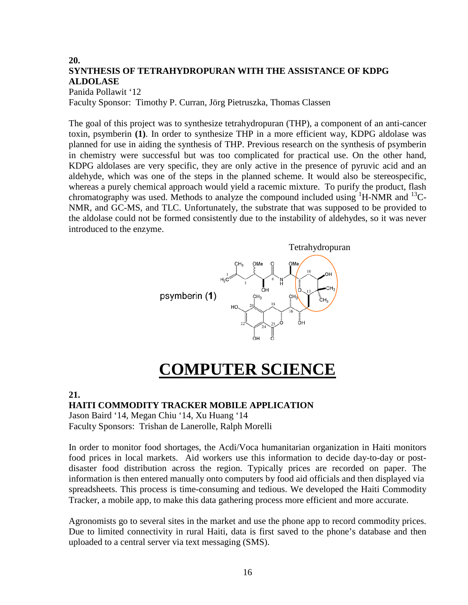## **20. SYNTHESIS OF TETRAHYDROPURAN WITH THE ASSISTANCE OF KDPG ALDOLASE**

Panida Pollawit '12 Faculty Sponsor: Timothy P. Curran, Jörg Pietruszka, Thomas Classen

The goal of this project was to synthesize tetrahydropuran (THP), a component of an anti-cancer toxin, psymberin **(1)**. In order to synthesize THP in a more efficient way, KDPG aldolase was planned for use in aiding the synthesis of THP. Previous research on the synthesis of psymberin in chemistry were successful but was too complicated for practical use. On the other hand, KDPG aldolases are very specific, they are only active in the presence of pyruvic acid and an aldehyde, which was one of the steps in the planned scheme. It would also be stereospecific, whereas a purely chemical approach would yield a racemic mixture. To purify the product, flash chromatography was used. Methods to analyze the compound included using  ${}^{1}$ H-NMR and  ${}^{13}$ C-NMR, and GC-MS, and TLC. Unfortunately, the substrate that was supposed to be provided to the aldolase could not be formed consistently due to the instability of aldehydes, so it was never introduced to the enzyme.



# **COMPUTER SCIENCE**

#### **21.**

#### **HAITI COMMODITY TRACKER MOBILE APPLICATION**

Jason Baird '14, Megan Chiu '14, Xu Huang '14 Faculty Sponsors: Trishan de Lanerolle, Ralph Morelli

In order to monitor food shortages, the Acdi/Voca humanitarian organization in Haiti monitors food prices in local markets. Aid workers use this information to decide day-to-day or postdisaster food distribution across the region. Typically prices are recorded on paper. The information is then entered manually onto computers by food aid officials and then displayed via spreadsheets. This process is time-consuming and tedious. We developed the Haiti Commodity Tracker, a mobile app, to make this data gathering process more efficient and more accurate.

Agronomists go to several sites in the market and use the phone app to record commodity prices. Due to limited connectivity in rural Haiti, data is first saved to the phone's database and then uploaded to a central server via text messaging (SMS).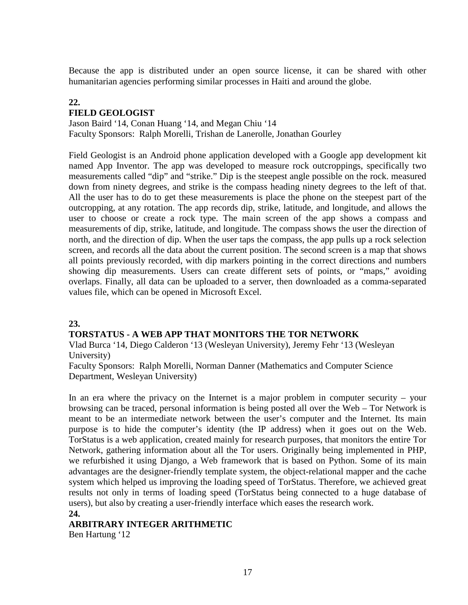Because the app is distributed under an open source license, it can be shared with other humanitarian agencies performing similar processes in Haiti and around the globe.

## **22.**

#### **FIELD GEOLOGIST**

Jason Baird '14, Conan Huang '14, and Megan Chiu '14 Faculty Sponsors: Ralph Morelli, Trishan de Lanerolle, Jonathan Gourley

Field Geologist is an Android phone application developed with a Google app development kit named App Inventor. The app was developed to measure rock outcroppings, specifically two measurements called "dip" and "strike." Dip is the steepest angle possible on the rock. measured down from ninety degrees, and strike is the compass heading ninety degrees to the left of that. All the user has to do to get these measurements is place the phone on the steepest part of the outcropping, at any rotation. The app records dip, strike, latitude, and longitude, and allows the user to choose or create a rock type. The main screen of the app shows a compass and measurements of dip, strike, latitude, and longitude. The compass shows the user the direction of north, and the direction of dip. When the user taps the compass, the app pulls up a rock selection screen, and records all the data about the current position. The second screen is a map that shows all points previously recorded, with dip markers pointing in the correct directions and numbers showing dip measurements. Users can create different sets of points, or "maps," avoiding overlaps. Finally, all data can be uploaded to a server, then downloaded as a comma-separated values file, which can be opened in Microsoft Excel.

#### **23.**

#### **TORSTATUS - A WEB APP THAT MONITORS THE TOR NETWORK**

Vlad Burca '14, Diego Calderon '13 (Wesleyan University), Jeremy Fehr '13 (Wesleyan University)

Faculty Sponsors: Ralph Morelli, Norman Danner (Mathematics and Computer Science Department, Wesleyan University)

In an era where the privacy on the Internet is a major problem in computer security – your browsing can be traced, personal information is being posted all over the Web – Tor Network is meant to be an intermediate network between the user's computer and the Internet. Its main purpose is to hide the computer's identity (the IP address) when it goes out on the Web. TorStatus is a web application, created mainly for research purposes, that monitors the entire Tor Network, gathering information about all the Tor users. Originally being implemented in PHP, we refurbished it using Django, a Web framework that is based on Python. Some of its main advantages are the designer-friendly template system, the object-relational mapper and the cache system which helped us improving the loading speed of TorStatus. Therefore, we achieved great results not only in terms of loading speed (TorStatus being connected to a huge database of users), but also by creating a user-friendly interface which eases the research work.

#### **24.**

### **ARBITRARY INTEGER ARITHMETIC**

Ben Hartung '12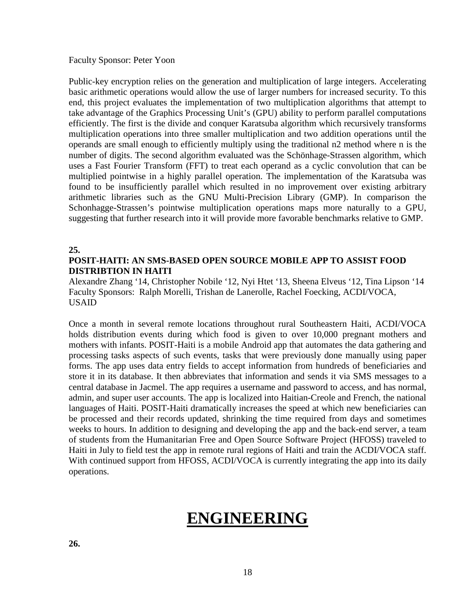Faculty Sponsor: Peter Yoon

Public-key encryption relies on the generation and multiplication of large integers. Accelerating basic arithmetic operations would allow the use of larger numbers for increased security. To this end, this project evaluates the implementation of two multiplication algorithms that attempt to take advantage of the Graphics Processing Unit's (GPU) ability to perform parallel computations efficiently. The first is the divide and conquer Karatsuba algorithm which recursively transforms multiplication operations into three smaller multiplication and two addition operations until the operands are small enough to efficiently multiply using the traditional n2 method where n is the number of digits. The second algorithm evaluated was the Schönhage-Strassen algorithm, which uses a Fast Fourier Transform (FFT) to treat each operand as a cyclic convolution that can be multiplied pointwise in a highly parallel operation. The implementation of the Karatsuba was found to be insufficiently parallel which resulted in no improvement over existing arbitrary arithmetic libraries such as the GNU Multi-Precision Library (GMP). In comparison the Schonhagge-Strassen's pointwise multiplication operations maps more naturally to a GPU, suggesting that further research into it will provide more favorable benchmarks relative to GMP.

#### **25.**

### **POSIT-HAITI: AN SMS-BASED OPEN SOURCE MOBILE APP TO ASSIST FOOD DISTRIBTION IN HAITI**

Alexandre Zhang '14, Christopher Nobile '12, Nyi Htet '13, Sheena Elveus '12, Tina Lipson '14 Faculty Sponsors: Ralph Morelli, Trishan de Lanerolle, Rachel Foecking, ACDI/VOCA, USAID

Once a month in several remote locations throughout rural Southeastern Haiti, ACDI/VOCA holds distribution events during which food is given to over 10,000 pregnant mothers and mothers with infants. POSIT-Haiti is a mobile Android app that automates the data gathering and processing tasks aspects of such events, tasks that were previously done manually using paper forms. The app uses data entry fields to accept information from hundreds of beneficiaries and store it in its database. It then abbreviates that information and sends it via SMS messages to a central database in Jacmel. The app requires a username and password to access, and has normal, admin, and super user accounts. The app is localized into Haitian-Creole and French, the national languages of Haiti. POSIT-Haiti dramatically increases the speed at which new beneficiaries can be processed and their records updated, shrinking the time required from days and sometimes weeks to hours. In addition to designing and developing the app and the back-end server, a team of students from the Humanitarian Free and Open Source Software Project (HFOSS) traveled to Haiti in July to field test the app in remote rural regions of Haiti and train the ACDI/VOCA staff. With continued support from HFOSS, ACDI/VOCA is currently integrating the app into its daily operations.

# **ENGINEERING**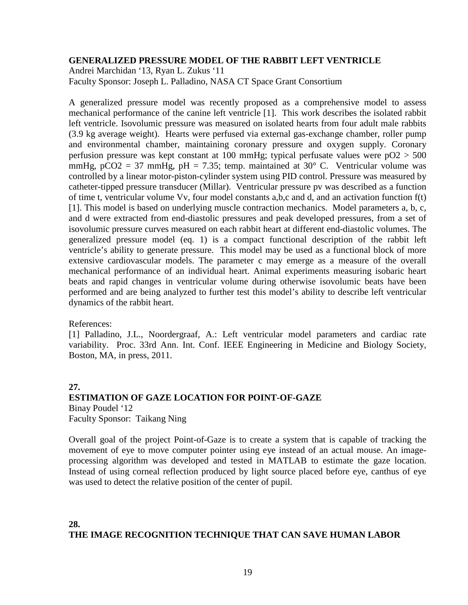#### **GENERALIZED PRESSURE MODEL OF THE RABBIT LEFT VENTRICLE**

Andrei Marchidan '13, Ryan L. Zukus '11 Faculty Sponsor: Joseph L. Palladino, NASA CT Space Grant Consortium

A generalized pressure model was recently proposed as a comprehensive model to assess mechanical performance of the canine left ventricle [1]. This work describes the isolated rabbit left ventricle. Isovolumic pressure was measured on isolated hearts from four adult male rabbits (3.9 kg average weight). Hearts were perfused via external gas-exchange chamber, roller pump and environmental chamber, maintaining coronary pressure and oxygen supply. Coronary perfusion pressure was kept constant at 100 mmHg; typical perfusate values were  $pO2 > 500$ mmHg,  $pCO2 = 37$  mmHg,  $pH = 7.35$ ; temp. maintained at 30° C. Ventricular volume was controlled by a linear motor-piston-cylinder system using PID control. Pressure was measured by catheter-tipped pressure transducer (Millar). Ventricular pressure pv was described as a function of time t, ventricular volume Vv, four model constants a,b,c and d, and an activation function f(t) [1]. This model is based on underlying muscle contraction mechanics. Model parameters a, b, c, and d were extracted from end-diastolic pressures and peak developed pressures, from a set of isovolumic pressure curves measured on each rabbit heart at different end-diastolic volumes. The generalized pressure model (eq. 1) is a compact functional description of the rabbit left ventricle's ability to generate pressure. This model may be used as a functional block of more extensive cardiovascular models. The parameter c may emerge as a measure of the overall mechanical performance of an individual heart. Animal experiments measuring isobaric heart beats and rapid changes in ventricular volume during otherwise isovolumic beats have been performed and are being analyzed to further test this model's ability to describe left ventricular dynamics of the rabbit heart.

References:

[1] Palladino, J.L., Noordergraaf, A.: Left ventricular model parameters and cardiac rate variability. Proc. 33rd Ann. Int. Conf. IEEE Engineering in Medicine and Biology Society, Boston, MA, in press, 2011.

### **27. ESTIMATION OF GAZE LOCATION FOR POINT-OF-GAZE** Binay Poudel '12 Faculty Sponsor: Taikang Ning

Overall goal of the project Point-of-Gaze is to create a system that is capable of tracking the movement of eye to move computer pointer using eye instead of an actual mouse. An imageprocessing algorithm was developed and tested in MATLAB to estimate the gaze location. Instead of using corneal reflection produced by light source placed before eye, canthus of eye was used to detect the relative position of the center of pupil.

#### **28. THE IMAGE RECOGNITION TECHNIQUE THAT CAN SAVE HUMAN LABOR**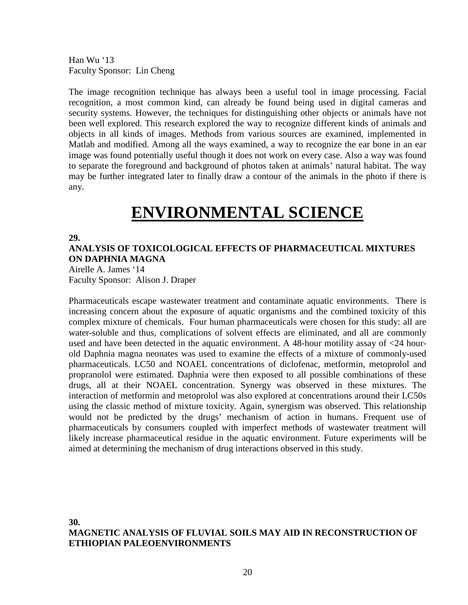Han Wu '13 Faculty Sponsor: Lin Cheng

The image recognition technique has always been a useful tool in image processing. Facial recognition, a most common kind, can already be found being used in digital cameras and security systems. However, the techniques for distinguishing other objects or animals have not been well explored. This research explored the way to recognize different kinds of animals and objects in all kinds of images. Methods from various sources are examined, implemented in Matlab and modified. Among all the ways examined, a way to recognize the ear bone in an ear image was found potentially useful though it does not work on every case. Also a way was found to separate the foreground and background of photos taken at animals' natural habitat. The way may be further integrated later to finally draw a contour of the animals in the photo if there is any.

# **ENVIRONMENTAL SCIENCE**

#### **29.**

#### **ANALYSIS OF TOXICOLOGICAL EFFECTS OF PHARMACEUTICAL MIXTURES ON DAPHNIA MAGNA**

Airelle A. James '14 Faculty Sponsor: Alison J. Draper

Pharmaceuticals escape wastewater treatment and contaminate aquatic environments. There is increasing concern about the exposure of aquatic organisms and the combined toxicity of this complex mixture of chemicals. Four human pharmaceuticals were chosen for this study: all are water-soluble and thus, complications of solvent effects are eliminated, and all are commonly used and have been detected in the aquatic environment. A 48-hour motility assay of <24 hourold Daphnia magna neonates was used to examine the effects of a mixture of commonly-used pharmaceuticals. LC50 and NOAEL concentrations of diclofenac, metformin, metoprolol and propranolol were estimated. Daphnia were then exposed to all possible combinations of these drugs, all at their NOAEL concentration. Synergy was observed in these mixtures. The interaction of metformin and metoprolol was also explored at concentrations around their LC50s using the classic method of mixture toxicity. Again, synergism was observed. This relationship would not be predicted by the drugs' mechanism of action in humans. Frequent use of pharmaceuticals by consumers coupled with imperfect methods of wastewater treatment will likely increase pharmaceutical residue in the aquatic environment. Future experiments will be aimed at determining the mechanism of drug interactions observed in this study.

#### **30. MAGNETIC ANALYSIS OF FLUVIAL SOILS MAY AID IN RECONSTRUCTION OF ETHIOPIAN PALEOENVIRONMENTS**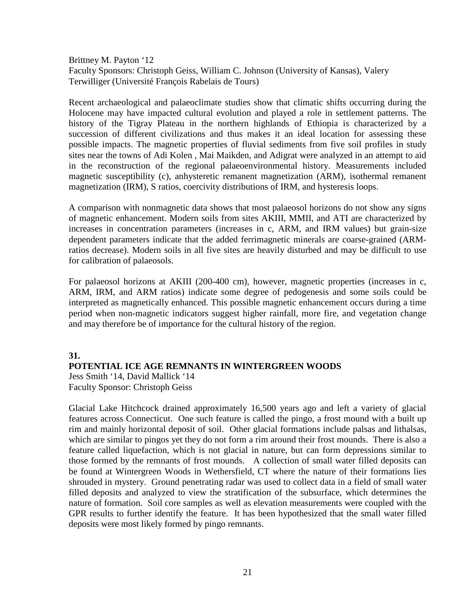Brittney M. Payton '12 Faculty Sponsors: Christoph Geiss, William C. Johnson (University of Kansas), Valery Terwilliger (Université François Rabelais de Tours)

Recent archaeological and palaeoclimate studies show that climatic shifts occurring during the Holocene may have impacted cultural evolution and played a role in settlement patterns. The history of the Tigray Plateau in the northern highlands of Ethiopia is characterized by a succession of different civilizations and thus makes it an ideal location for assessing these possible impacts. The magnetic properties of fluvial sediments from five soil profiles in study sites near the towns of Adi Kolen , Mai Maikden, and Adigrat were analyzed in an attempt to aid in the reconstruction of the regional palaeoenvironmental history. Measurements included magnetic susceptibility (c), anhysteretic remanent magnetization (ARM), isothermal remanent magnetization (IRM), S ratios, coercivity distributions of IRM, and hysteresis loops.

A comparison with nonmagnetic data shows that most palaeosol horizons do not show any signs of magnetic enhancement. Modern soils from sites AKIII, MMII, and ATI are characterized by increases in concentration parameters (increases in c, ARM, and IRM values) but grain-size dependent parameters indicate that the added ferrimagnetic minerals are coarse-grained (ARMratios decrease). Modern soils in all five sites are heavily disturbed and may be difficult to use for calibration of palaeosols.

For palaeosol horizons at AKIII (200-400 cm), however, magnetic properties (increases in c, ARM, IRM, and ARM ratios) indicate some degree of pedogenesis and some soils could be interpreted as magnetically enhanced. This possible magnetic enhancement occurs during a time period when non-magnetic indicators suggest higher rainfall, more fire, and vegetation change and may therefore be of importance for the cultural history of the region.

#### **31.**

#### **POTENTIAL ICE AGE REMNANTS IN WINTERGREEN WOODS**

Jess Smith '14, David Mallick '14 Faculty Sponsor: Christoph Geiss

Glacial Lake Hitchcock drained approximately 16,500 years ago and left a variety of glacial features across Connecticut. One such feature is called the pingo, a frost mound with a built up rim and mainly horizontal deposit of soil. Other glacial formations include palsas and lithalsas, which are similar to pingos yet they do not form a rim around their frost mounds. There is also a feature called liquefaction, which is not glacial in nature, but can form depressions similar to those formed by the remnants of frost mounds. A collection of small water filled deposits can be found at Wintergreen Woods in Wethersfield, CT where the nature of their formations lies shrouded in mystery. Ground penetrating radar was used to collect data in a field of small water filled deposits and analyzed to view the stratification of the subsurface, which determines the nature of formation. Soil core samples as well as elevation measurements were coupled with the GPR results to further identify the feature. It has been hypothesized that the small water filled deposits were most likely formed by pingo remnants.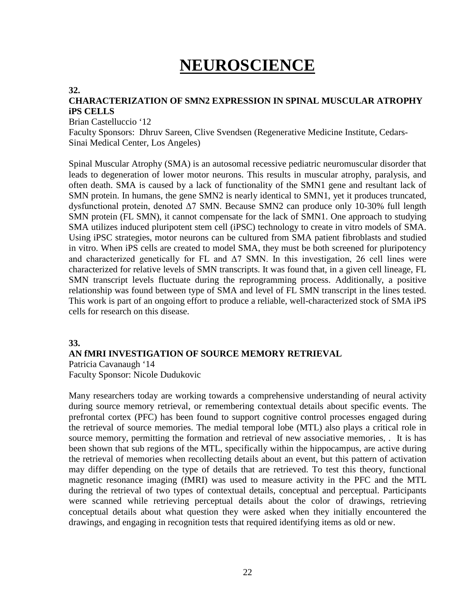# **NEUROSCIENCE**

#### **32.**

### **CHARACTERIZATION OF SMN2 EXPRESSION IN SPINAL MUSCULAR ATROPHY iPS CELLS**

Brian Castelluccio '12

Faculty Sponsors: Dhruv Sareen, Clive Svendsen (Regenerative Medicine Institute, Cedars-Sinai Medical Center, Los Angeles)

Spinal Muscular Atrophy (SMA) is an autosomal recessive pediatric neuromuscular disorder that leads to degeneration of lower motor neurons. This results in muscular atrophy, paralysis, and often death. SMA is caused by a lack of functionality of the SMN1 gene and resultant lack of SMN protein. In humans, the gene SMN2 is nearly identical to SMN1, yet it produces truncated, dysfunctional protein, denoted Δ7 SMN. Because SMN2 can produce only 10-30% full length SMN protein (FL SMN), it cannot compensate for the lack of SMN1. One approach to studying SMA utilizes induced pluripotent stem cell (iPSC) technology to create in vitro models of SMA. Using iPSC strategies, motor neurons can be cultured from SMA patient fibroblasts and studied in vitro. When iPS cells are created to model SMA, they must be both screened for pluripotency and characterized genetically for FL and  $\Delta$ 7 SMN. In this investigation, 26 cell lines were characterized for relative levels of SMN transcripts. It was found that, in a given cell lineage, FL SMN transcript levels fluctuate during the reprogramming process. Additionally, a positive relationship was found between type of SMA and level of FL SMN transcript in the lines tested. This work is part of an ongoing effort to produce a reliable, well-characterized stock of SMA iPS cells for research on this disease.

#### **33.**

#### **AN fMRI INVESTIGATION OF SOURCE MEMORY RETRIEVAL**

Patricia Cavanaugh '14 Faculty Sponsor: Nicole Dudukovic

Many researchers today are working towards a comprehensive understanding of neural activity during source memory retrieval, or remembering contextual details about specific events. The prefrontal cortex (PFC) has been found to support cognitive control processes engaged during the retrieval of source memories. The medial temporal lobe (MTL) also plays a critical role in source memory, permitting the formation and retrieval of new associative memories, . It is has been shown that sub regions of the MTL, specifically within the hippocampus, are active during the retrieval of memories when recollecting details about an event, but this pattern of activation may differ depending on the type of details that are retrieved. To test this theory, functional magnetic resonance imaging (fMRI) was used to measure activity in the PFC and the MTL during the retrieval of two types of contextual details, conceptual and perceptual. Participants were scanned while retrieving perceptual details about the color of drawings, retrieving conceptual details about what question they were asked when they initially encountered the drawings, and engaging in recognition tests that required identifying items as old or new.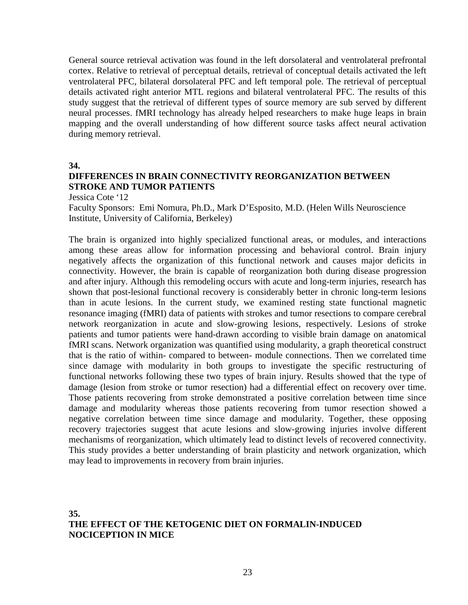General source retrieval activation was found in the left dorsolateral and ventrolateral prefrontal cortex. Relative to retrieval of perceptual details, retrieval of conceptual details activated the left ventrolateral PFC, bilateral dorsolateral PFC and left temporal pole. The retrieval of perceptual details activated right anterior MTL regions and bilateral ventrolateral PFC. The results of this study suggest that the retrieval of different types of source memory are sub served by different neural processes. fMRI technology has already helped researchers to make huge leaps in brain mapping and the overall understanding of how different source tasks affect neural activation during memory retrieval.

**34.**

### **DIFFERENCES IN BRAIN CONNECTIVITY REORGANIZATION BETWEEN STROKE AND TUMOR PATIENTS**

Jessica Cote '12

Faculty Sponsors: Emi Nomura, Ph.D., Mark D'Esposito, M.D. (Helen Wills Neuroscience Institute, University of California, Berkeley)

The brain is organized into highly specialized functional areas, or modules, and interactions among these areas allow for information processing and behavioral control. Brain injury negatively affects the organization of this functional network and causes major deficits in connectivity. However, the brain is capable of reorganization both during disease progression and after injury. Although this remodeling occurs with acute and long-term injuries, research has shown that post-lesional functional recovery is considerably better in chronic long-term lesions than in acute lesions. In the current study, we examined resting state functional magnetic resonance imaging (fMRI) data of patients with strokes and tumor resections to compare cerebral network reorganization in acute and slow-growing lesions, respectively. Lesions of stroke patients and tumor patients were hand-drawn according to visible brain damage on anatomical fMRI scans. Network organization was quantified using modularity, a graph theoretical construct that is the ratio of within- compared to between- module connections. Then we correlated time since damage with modularity in both groups to investigate the specific restructuring of functional networks following these two types of brain injury. Results showed that the type of damage (lesion from stroke or tumor resection) had a differential effect on recovery over time. Those patients recovering from stroke demonstrated a positive correlation between time since damage and modularity whereas those patients recovering from tumor resection showed a negative correlation between time since damage and modularity. Together, these opposing recovery trajectories suggest that acute lesions and slow-growing injuries involve different mechanisms of reorganization, which ultimately lead to distinct levels of recovered connectivity. This study provides a better understanding of brain plasticity and network organization, which may lead to improvements in recovery from brain injuries.

#### **35. THE EFFECT OF THE KETOGENIC DIET ON FORMALIN-INDUCED NOCICEPTION IN MICE**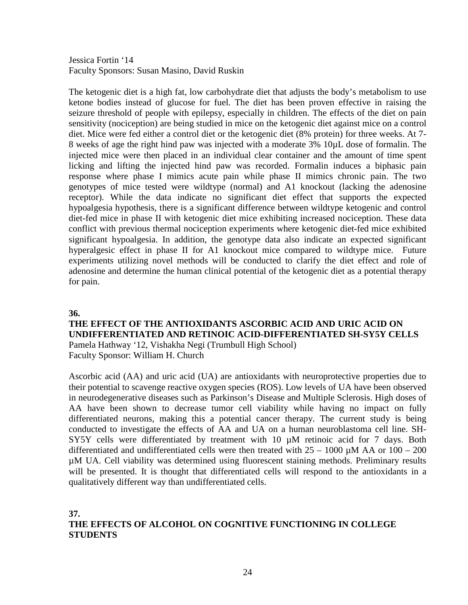Jessica Fortin '14 Faculty Sponsors: Susan Masino, David Ruskin

The ketogenic diet is a high fat, low carbohydrate diet that adjusts the body's metabolism to use ketone bodies instead of glucose for fuel. The diet has been proven effective in raising the seizure threshold of people with epilepsy, especially in children. The effects of the diet on pain sensitivity (nociception) are being studied in mice on the ketogenic diet against mice on a control diet. Mice were fed either a control diet or the ketogenic diet (8% protein) for three weeks. At 7- 8 weeks of age the right hind paw was injected with a moderate 3% 10µL dose of formalin. The injected mice were then placed in an individual clear container and the amount of time spent licking and lifting the injected hind paw was recorded. Formalin induces a biphasic pain response where phase I mimics acute pain while phase II mimics chronic pain. The two genotypes of mice tested were wildtype (normal) and A1 knockout (lacking the adenosine receptor). While the data indicate no significant diet effect that supports the expected hypoalgesia hypothesis, there is a significant difference between wildtype ketogenic and control diet-fed mice in phase II with ketogenic diet mice exhibiting increased nociception. These data conflict with previous thermal nociception experiments where ketogenic diet-fed mice exhibited significant hypoalgesia. In addition, the genotype data also indicate an expected significant hyperalgesic effect in phase II for A1 knockout mice compared to wildtype mice. Future experiments utilizing novel methods will be conducted to clarify the diet effect and role of adenosine and determine the human clinical potential of the ketogenic diet as a potential therapy for pain.

#### **36.**

#### **THE EFFECT OF THE ANTIOXIDANTS ASCORBIC ACID AND URIC ACID ON UNDIFFERENTIATED AND RETINOIC ACID-DIFFERENTIATED SH-SY5Y CELLS** Pamela Hathway '12, Vishakha Negi (Trumbull High School)

Faculty Sponsor: William H. Church

Ascorbic acid (AA) and uric acid (UA) are antioxidants with neuroprotective properties due to their potential to scavenge reactive oxygen species (ROS). Low levels of UA have been observed in neurodegenerative diseases such as Parkinson's Disease and Multiple Sclerosis. High doses of AA have been shown to decrease tumor cell viability while having no impact on fully differentiated neurons, making this a potential cancer therapy. The current study is being conducted to investigate the effects of AA and UA on a human neuroblastoma cell line. SH-SY5Y cells were differentiated by treatment with 10  $\mu$ M retinoic acid for 7 days. Both differentiated and undifferentiated cells were then treated with  $25 - 1000 \mu M$  AA or  $100 - 200$ µM UA. Cell viability was determined using fluorescent staining methods. Preliminary results will be presented. It is thought that differentiated cells will respond to the antioxidants in a qualitatively different way than undifferentiated cells.

#### **37.**

### **THE EFFECTS OF ALCOHOL ON COGNITIVE FUNCTIONING IN COLLEGE STUDENTS**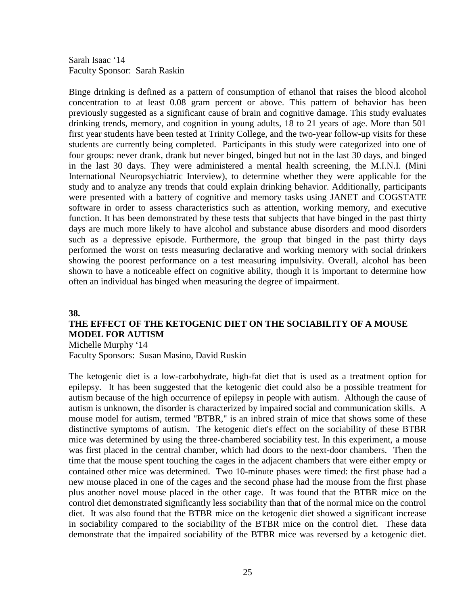Sarah Isaac '14 Faculty Sponsor: Sarah Raskin

Binge drinking is defined as a pattern of consumption of ethanol that raises the blood alcohol concentration to at least 0.08 gram percent or above. This pattern of behavior has been previously suggested as a significant cause of brain and cognitive damage. This study evaluates drinking trends, memory, and cognition in young adults, 18 to 21 years of age. More than 501 first year students have been tested at Trinity College, and the two-year follow-up visits for these students are currently being completed. Participants in this study were categorized into one of four groups: never drank, drank but never binged, binged but not in the last 30 days, and binged in the last 30 days. They were administered a mental health screening, the M.I.N.I. (Mini International Neuropsychiatric Interview), to determine whether they were applicable for the study and to analyze any trends that could explain drinking behavior. Additionally, participants were presented with a battery of cognitive and memory tasks using JANET and COGSTATE software in order to assess characteristics such as attention, working memory, and executive function. It has been demonstrated by these tests that subjects that have binged in the past thirty days are much more likely to have alcohol and substance abuse disorders and mood disorders such as a depressive episode. Furthermore, the group that binged in the past thirty days performed the worst on tests measuring declarative and working memory with social drinkers showing the poorest performance on a test measuring impulsivity. Overall, alcohol has been shown to have a noticeable effect on cognitive ability, though it is important to determine how often an individual has binged when measuring the degree of impairment.

#### **38.**

### **THE EFFECT OF THE KETOGENIC DIET ON THE SOCIABILITY OF A MOUSE MODEL FOR AUTISM**

Michelle Murphy '14 Faculty Sponsors: Susan Masino, David Ruskin

The ketogenic diet is a low-carbohydrate, high-fat diet that is used as a treatment option for epilepsy. It has been suggested that the ketogenic diet could also be a possible treatment for autism because of the high occurrence of epilepsy in people with autism. Although the cause of autism is unknown, the disorder is characterized by impaired social and communication skills. A mouse model for autism, termed "BTBR," is an inbred strain of mice that shows some of these distinctive symptoms of autism. The ketogenic diet's effect on the sociability of these BTBR mice was determined by using the three-chambered sociability test. In this experiment, a mouse was first placed in the central chamber, which had doors to the next-door chambers. Then the time that the mouse spent touching the cages in the adjacent chambers that were either empty or contained other mice was determined. Two 10-minute phases were timed: the first phase had a new mouse placed in one of the cages and the second phase had the mouse from the first phase plus another novel mouse placed in the other cage. It was found that the BTBR mice on the control diet demonstrated significantly less sociability than that of the normal mice on the control diet. It was also found that the BTBR mice on the ketogenic diet showed a significant increase in sociability compared to the sociability of the BTBR mice on the control diet. These data demonstrate that the impaired sociability of the BTBR mice was reversed by a ketogenic diet.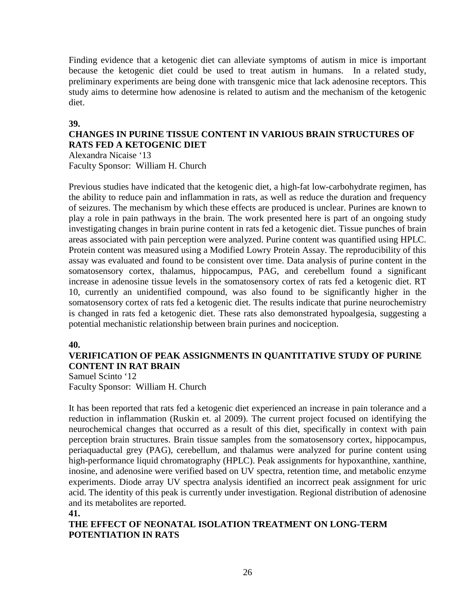Finding evidence that a ketogenic diet can alleviate symptoms of autism in mice is important because the ketogenic diet could be used to treat autism in humans. In a related study, preliminary experiments are being done with transgenic mice that lack adenosine receptors. This study aims to determine how adenosine is related to autism and the mechanism of the ketogenic diet.

#### **39.**

### **CHANGES IN PURINE TISSUE CONTENT IN VARIOUS BRAIN STRUCTURES OF RATS FED A KETOGENIC DIET**

Alexandra Nicaise '13 Faculty Sponsor: William H. Church

Previous studies have indicated that the ketogenic diet, a high-fat low-carbohydrate regimen, has the ability to reduce pain and inflammation in rats, as well as reduce the duration and frequency of seizures. The mechanism by which these effects are produced is unclear. Purines are known to play a role in pain pathways in the brain. The work presented here is part of an ongoing study investigating changes in brain purine content in rats fed a ketogenic diet. Tissue punches of brain areas associated with pain perception were analyzed. Purine content was quantified using HPLC. Protein content was measured using a Modified Lowry Protein Assay. The reproducibility of this assay was evaluated and found to be consistent over time. Data analysis of purine content in the somatosensory cortex, thalamus, hippocampus, PAG, and cerebellum found a significant increase in adenosine tissue levels in the somatosensory cortex of rats fed a ketogenic diet. RT 10, currently an unidentified compound, was also found to be significantly higher in the somatosensory cortex of rats fed a ketogenic diet. The results indicate that purine neurochemistry is changed in rats fed a ketogenic diet. These rats also demonstrated hypoalgesia, suggesting a potential mechanistic relationship between brain purines and nociception.

#### **40.**

### **VERIFICATION OF PEAK ASSIGNMENTS IN QUANTITATIVE STUDY OF PURINE CONTENT IN RAT BRAIN**

Samuel Scinto '12 Faculty Sponsor: William H. Church

It has been reported that rats fed a ketogenic diet experienced an increase in pain tolerance and a reduction in inflammation (Ruskin et. al 2009). The current project focused on identifying the neurochemical changes that occurred as a result of this diet, specifically in context with pain perception brain structures. Brain tissue samples from the somatosensory cortex, hippocampus, periaquaductal grey (PAG), cerebellum, and thalamus were analyzed for purine content using high-performance liquid chromatography (HPLC). Peak assignments for hypoxanthine, xanthine, inosine, and adenosine were verified based on UV spectra, retention time, and metabolic enzyme experiments. Diode array UV spectra analysis identified an incorrect peak assignment for uric acid. The identity of this peak is currently under investigation. Regional distribution of adenosine and its metabolites are reported.

#### **41.**

### **THE EFFECT OF NEONATAL ISOLATION TREATMENT ON LONG-TERM POTENTIATION IN RATS**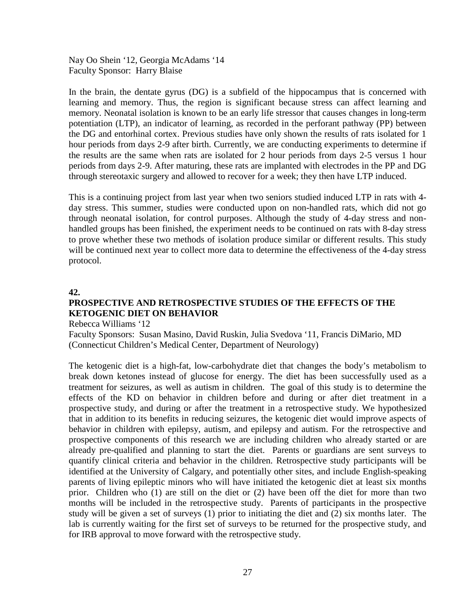Nay Oo Shein '12, Georgia McAdams '14 Faculty Sponsor: Harry Blaise

In the brain, the dentate gyrus (DG) is a subfield of the hippocampus that is concerned with learning and memory. Thus, the region is significant because stress can affect learning and memory. Neonatal isolation is known to be an early life stressor that causes changes in long-term potentiation (LTP), an indicator of learning, as recorded in the perforant pathway (PP) between the DG and entorhinal cortex. Previous studies have only shown the results of rats isolated for 1 hour periods from days 2-9 after birth. Currently, we are conducting experiments to determine if the results are the same when rats are isolated for 2 hour periods from days 2-5 versus 1 hour periods from days 2-9. After maturing, these rats are implanted with electrodes in the PP and DG through stereotaxic surgery and allowed to recover for a week; they then have LTP induced.

This is a continuing project from last year when two seniors studied induced LTP in rats with 4 day stress. This summer, studies were conducted upon on non-handled rats, which did not go through neonatal isolation, for control purposes. Although the study of 4-day stress and nonhandled groups has been finished, the experiment needs to be continued on rats with 8-day stress to prove whether these two methods of isolation produce similar or different results. This study will be continued next year to collect more data to determine the effectiveness of the 4-day stress protocol.

#### **42.**

## **PROSPECTIVE AND RETROSPECTIVE STUDIES OF THE EFFECTS OF THE KETOGENIC DIET ON BEHAVIOR**

Rebecca Williams '12

Faculty Sponsors: Susan Masino, David Ruskin, Julia Svedova '11, Francis DiMario, MD (Connecticut Children's Medical Center, Department of Neurology)

The ketogenic diet is a high-fat, low-carbohydrate diet that changes the body's metabolism to break down ketones instead of glucose for energy. The diet has been successfully used as a treatment for seizures, as well as autism in children. The goal of this study is to determine the effects of the KD on behavior in children before and during or after diet treatment in a prospective study, and during or after the treatment in a retrospective study. We hypothesized that in addition to its benefits in reducing seizures, the ketogenic diet would improve aspects of behavior in children with epilepsy, autism, and epilepsy and autism. For the retrospective and prospective components of this research we are including children who already started or are already pre-qualified and planning to start the diet. Parents or guardians are sent surveys to quantify clinical criteria and behavior in the children. Retrospective study participants will be identified at the University of Calgary, and potentially other sites, and include English-speaking parents of living epileptic minors who will have initiated the ketogenic diet at least six months prior. Children who (1) are still on the diet or (2) have been off the diet for more than two months will be included in the retrospective study. Parents of participants in the prospective study will be given a set of surveys (1) prior to initiating the diet and (2) six months later. The lab is currently waiting for the first set of surveys to be returned for the prospective study, and for IRB approval to move forward with the retrospective study.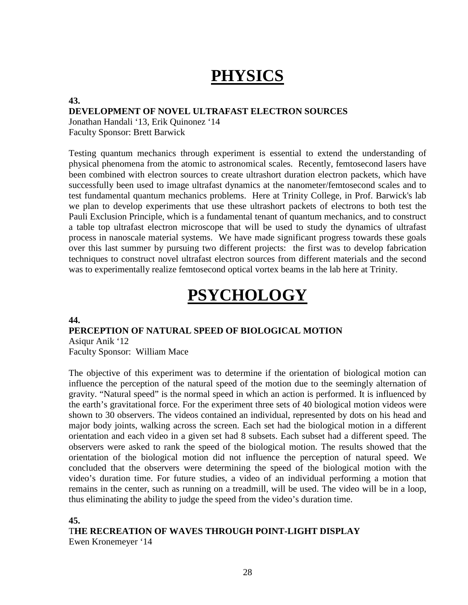# **PHYSICS**

**43.**

#### **DEVELOPMENT OF NOVEL ULTRAFAST ELECTRON SOURCES**

Jonathan Handali '13, Erik Quinonez '14 Faculty Sponsor: Brett Barwick

Testing quantum mechanics through experiment is essential to extend the understanding of physical phenomena from the atomic to astronomical scales. Recently, femtosecond lasers have been combined with electron sources to create ultrashort duration electron packets, which have successfully been used to image ultrafast dynamics at the nanometer/femtosecond scales and to test fundamental quantum mechanics problems. Here at Trinity College, in Prof. Barwick's lab we plan to develop experiments that use these ultrashort packets of electrons to both test the Pauli Exclusion Principle, which is a fundamental tenant of quantum mechanics, and to construct a table top ultrafast electron microscope that will be used to study the dynamics of ultrafast process in nanoscale material systems. We have made significant progress towards these goals over this last summer by pursuing two different projects: the first was to develop fabrication techniques to construct novel ultrafast electron sources from different materials and the second was to experimentally realize femtosecond optical vortex beams in the lab here at Trinity.

# **PSYCHOLOGY**

#### **44.**

#### **PERCEPTION OF NATURAL SPEED OF BIOLOGICAL MOTION**

Asiqur Anik '12 Faculty Sponsor: William Mace

The objective of this experiment was to determine if the orientation of biological motion can influence the perception of the natural speed of the motion due to the seemingly alternation of gravity. "Natural speed" is the normal speed in which an action is performed. It is influenced by the earth's gravitational force. For the experiment three sets of 40 biological motion videos were shown to 30 observers. The videos contained an individual, represented by dots on his head and major body joints, walking across the screen. Each set had the biological motion in a different orientation and each video in a given set had 8 subsets. Each subset had a different speed. The observers were asked to rank the speed of the biological motion. The results showed that the orientation of the biological motion did not influence the perception of natural speed. We concluded that the observers were determining the speed of the biological motion with the video's duration time. For future studies, a video of an individual performing a motion that remains in the center, such as running on a treadmill, will be used. The video will be in a loop, thus eliminating the ability to judge the speed from the video's duration time.

#### **45.**

T**HE RECREATION OF WAVES THROUGH POINT-LIGHT DISPLAY**

Ewen Kronemeyer '14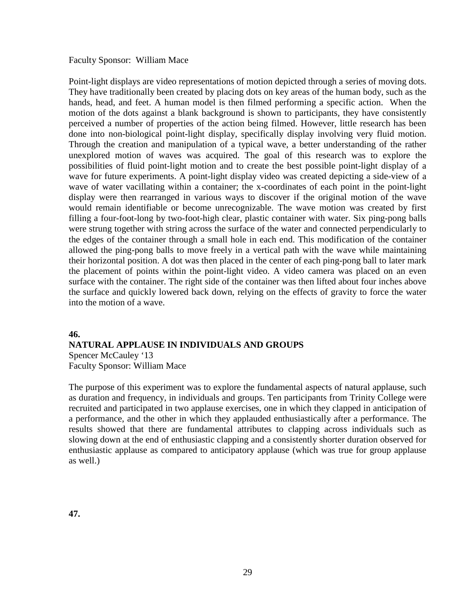Faculty Sponsor: William Mace

Point-light displays are video representations of motion depicted through a series of moving dots. They have traditionally been created by placing dots on key areas of the human body, such as the hands, head, and feet. A human model is then filmed performing a specific action. When the motion of the dots against a blank background is shown to participants, they have consistently perceived a number of properties of the action being filmed. However, little research has been done into non-biological point-light display, specifically display involving very fluid motion. Through the creation and manipulation of a typical wave, a better understanding of the rather unexplored motion of waves was acquired. The goal of this research was to explore the possibilities of fluid point-light motion and to create the best possible point-light display of a wave for future experiments. A point-light display video was created depicting a side-view of a wave of water vacillating within a container; the x-coordinates of each point in the point-light display were then rearranged in various ways to discover if the original motion of the wave would remain identifiable or become unrecognizable. The wave motion was created by first filling a four-foot-long by two-foot-high clear, plastic container with water. Six ping-pong balls were strung together with string across the surface of the water and connected perpendicularly to the edges of the container through a small hole in each end. This modification of the container allowed the ping-pong balls to move freely in a vertical path with the wave while maintaining their horizontal position. A dot was then placed in the center of each ping-pong ball to later mark the placement of points within the point-light video. A video camera was placed on an even surface with the container. The right side of the container was then lifted about four inches above the surface and quickly lowered back down, relying on the effects of gravity to force the water into the motion of a wave.

#### **46.**

#### **NATURAL APPLAUSE IN INDIVIDUALS AND GROUPS**

Spencer McCauley '13 Faculty Sponsor: William Mace

The purpose of this experiment was to explore the fundamental aspects of natural applause, such as duration and frequency, in individuals and groups. Ten participants from Trinity College were recruited and participated in two applause exercises, one in which they clapped in anticipation of a performance, and the other in which they applauded enthusiastically after a performance. The results showed that there are fundamental attributes to clapping across individuals such as slowing down at the end of enthusiastic clapping and a consistently shorter duration observed for enthusiastic applause as compared to anticipatory applause (which was true for group applause as well.)